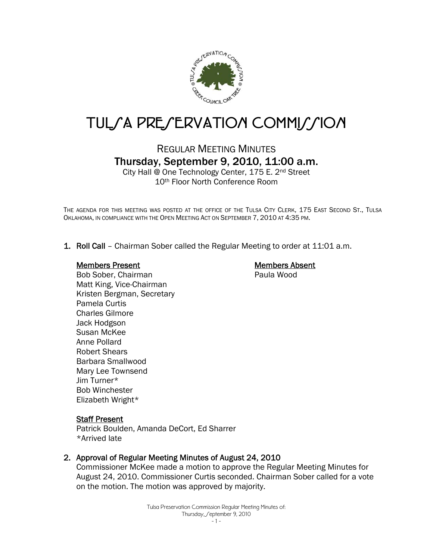

# TUL*SA PRESERVATION COMMISSION*

# REGULAR MEETING MINUTES Thursday, September 9, 2010, 11:00 a.m.

City Hall @ One Technology Center, 175 E. 2nd Street 10th Floor North Conference Room

THE AGENDA FOR THIS MEETING WAS POSTED AT THE OFFICE OF THE TULSA CITY CLERK, 175 EAST SECOND ST., TULSA OKLAHOMA, IN COMPLIANCE WITH THE OPEN MEETING ACT ON SEPTEMBER 7, 2010 AT 4:35 PM.

1. Roll Call – Chairman Sober called the Regular Meeting to order at 11:01 a.m.

#### Members Present

Members Absent Paula Wood

Bob Sober, Chairman Matt King, Vice-Chairman Kristen Bergman, Secretary Pamela Curtis Charles Gilmore Jack Hodgson Susan McKee Anne Pollard Robert Shears Barbara Smallwood Mary Lee Townsend Jim Turner\* Bob Winchester Elizabeth Wright\*

#### **Staff Present**

Patrick Boulden, Amanda DeCort, Ed Sharrer \*Arrived late

#### 2. Approval of Regular Meeting Minutes of August 24, 2010

Commissioner McKee made a motion to approve the Regular Meeting Minutes for August 24, 2010. Commissioner Curtis seconded. Chairman Sober called for a vote on the motion. The motion was approved by majority.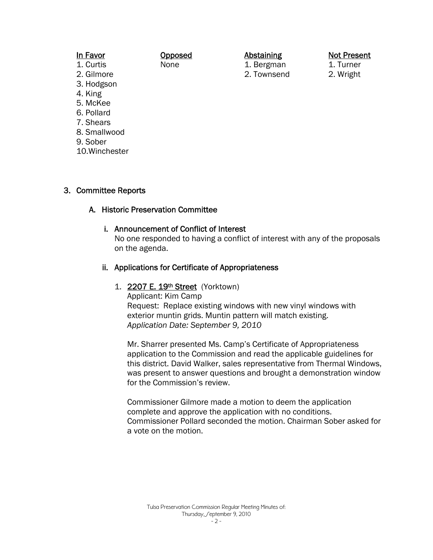| In Favor     | Opposed | <b>Abstaining</b> |
|--------------|---------|-------------------|
| 1. Curtis    | None    | 1. Bergman        |
| 2. Gilmore   |         | 2. Townsend       |
| 3. Hodgson   |         |                   |
| 4. King      |         |                   |
| 5. McKee     |         |                   |
| 6. Pollard   |         |                   |
| 7. Shears    |         |                   |
| 8. Smallwood |         |                   |
| 9. Sober     |         |                   |

#### 10.Winchester

# 3. Committee Reports

# A. Historic Preservation Committee

#### i. Announcement of Conflict of Interest

No one responded to having a conflict of interest with any of the proposals on the agenda.

Not Present 1. Turner 2. Wright

#### ii. Applications for Certificate of Appropriateness

#### 1. 2207 E. 19th Street (Yorktown)

Applicant: Kim Camp Request: Replace existing windows with new vinyl windows with exterior muntin grids. Muntin pattern will match existing. *Application Date: September 9, 2010*

Mr. Sharrer presented Ms. Camp's Certificate of Appropriateness application to the Commission and read the applicable guidelines for this district. David Walker, sales representative from Thermal Windows, was present to answer questions and brought a demonstration window for the Commission's review.

Commissioner Gilmore made a motion to deem the application complete and approve the application with no conditions. Commissioner Pollard seconded the motion. Chairman Sober asked for a vote on the motion.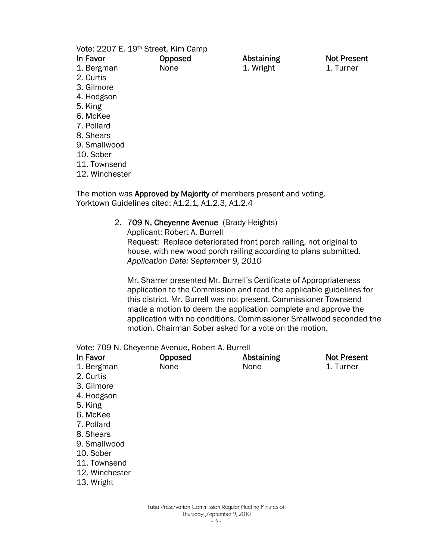Vote: 2207 E. 19th Street, Kim Camp **Opposed** 

None

In Favor

- 1. Bergman
- 2. Curtis
- 3. Gilmore
- 4. Hodgson
- 5. King
- 6. McKee
- 7. Pollard
- 8. Shears
- 9. Smallwood
- 10. Sober
- 11. Townsend
- 12. Winchester

The motion was Approved by Majority of members present and voting. Yorktown Guidelines cited: A1.2.1, A1.2.3, A1.2.4

> 2. **709 N. Cheyenne Avenue** (Brady Heights) Applicant: Robert A. Burrell Request: Replace deteriorated front porch railing, not original to house, with new wood porch railing according to plans submitted. *Application Date: September 9, 2010*

Mr. Sharrer presented Mr. Burrell's Certificate of Appropriateness application to the Commission and read the applicable guidelines for this district. Mr. Burrell was not present. Commissioner Townsend made a motion to deem the application complete and approve the application with no conditions. Commissioner Smallwood seconded the motion. Chairman Sober asked for a vote on the motion.

Abstaining 1. Wright

Vote: 709 N. Cheyenne Avenue, Robert A. Burrell

| In Favor       | Opposed | <b>Abstaining</b> | <b>Not Present</b> |
|----------------|---------|-------------------|--------------------|
| 1. Bergman     | None    | None              | 1. Turner          |
| 2. Curtis      |         |                   |                    |
| 3. Gilmore     |         |                   |                    |
| 4. Hodgson     |         |                   |                    |
| 5. King        |         |                   |                    |
| 6. McKee       |         |                   |                    |
| 7. Pollard     |         |                   |                    |
| 8. Shears      |         |                   |                    |
| 9. Smallwood   |         |                   |                    |
| 10. Sober      |         |                   |                    |
| 11. Townsend   |         |                   |                    |
| 12. Winchester |         |                   |                    |
| 13. Wright     |         |                   |                    |
|                |         |                   |                    |

Not Present 1. Turner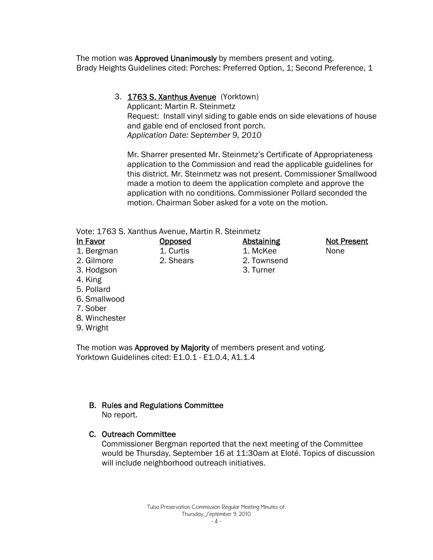The motion was Approved Unanimously by members present and voting. Brady Heights Guidelines cited: Porches: Preferred Option, 1; Second Preference, 1

> 3. 1763 S. Xanthus Avenue (Yorktown) Applicant: Martin R. Steinmetz Request: Install vinyl siding to gable ends on side elevations of house and gable end of enclosed front porch. *Application Date: September 9, 2010*

Mr. Sharrer presented Mr. Steinmetz's Certificate of Appropriateness application to the Commission and read the applicable guidelines for this district. Mr. Steinmetz was not present. Commissioner Smallwood made a motion to deem the application complete and approve the application with no conditions. Commissioner Pollard seconded the motion. Chairman Sober asked for a vote on the motion.

> **Abstaining** 1. McKee 2. Townsend 3. Turner

#### Vote: 1763 S. Xanthus Avenue, Martin R. Steinmetz

**Opposed** 1. Curtis 2. Shears

- In Favor
- 1. Bergman
- 2. Gilmore
- 3. Hodgson
- 4. King
- 5. Pollard
- 6. Smallwood
- 7. Sober
- 8. Winchester
- 9. Wright

The motion was Approved by Majority of members present and voting. Yorktown Guidelines cited: E1.0.1 - E1.0.4, A1.1.4

# B. Rules and Regulations Committee

No report.

# C. Outreach Committee

 Commissioner Bergman reported that the next meeting of the Committee would be Thursday, September 16 at 11:30am at Eloté. Topics of discussion will include neighborhood outreach initiatives.

Not Present

None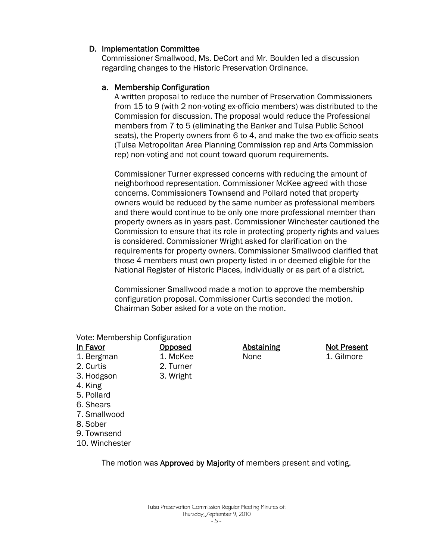# D. Implementation Committee

Commissioner Smallwood, Ms. DeCort and Mr. Boulden led a discussion regarding changes to the Historic Preservation Ordinance.

# a. Membership Configuration

A written proposal to reduce the number of Preservation Commissioners from 15 to 9 (with 2 non-voting ex-officio members) was distributed to the Commission for discussion. The proposal would reduce the Professional members from 7 to 5 (eliminating the Banker and Tulsa Public School seats), the Property owners from 6 to 4, and make the two ex-officio seats (Tulsa Metropolitan Area Planning Commission rep and Arts Commission rep) non-voting and not count toward quorum requirements.

Commissioner Turner expressed concerns with reducing the amount of neighborhood representation. Commissioner McKee agreed with those concerns. Commissioners Townsend and Pollard noted that property owners would be reduced by the same number as professional members and there would continue to be only one more professional member than property owners as in years past. Commissioner Winchester cautioned the Commission to ensure that its role in protecting property rights and values is considered. Commissioner Wright asked for clarification on the requirements for property owners. Commissioner Smallwood clarified that those 4 members must own property listed in or deemed eligible for the National Register of Historic Places, individually or as part of a district.

Commissioner Smallwood made a motion to approve the membership configuration proposal. Commissioner Curtis seconded the motion. Chairman Sober asked for a vote on the motion.

> Not Present 1. Gilmore

| Vote: Membership Configuration |                |                   |
|--------------------------------|----------------|-------------------|
| <u>In Favor</u>                | <u>Opposed</u> | <b>Abstaining</b> |
| 1. Bergman                     | 1. McKee       | None              |
| 2. Curtis                      | 2. Turner      |                   |
| 3. Hodgson                     | 3. Wright      |                   |
| 4. King                        |                |                   |
| 5. Pollard                     |                |                   |
| 6. Shears                      |                |                   |
| 7. Smallwood                   |                |                   |
| 8. Sober                       |                |                   |
| 9. Townsend                    |                |                   |
| 10. Winchester                 |                |                   |

The motion was Approved by Majority of members present and voting.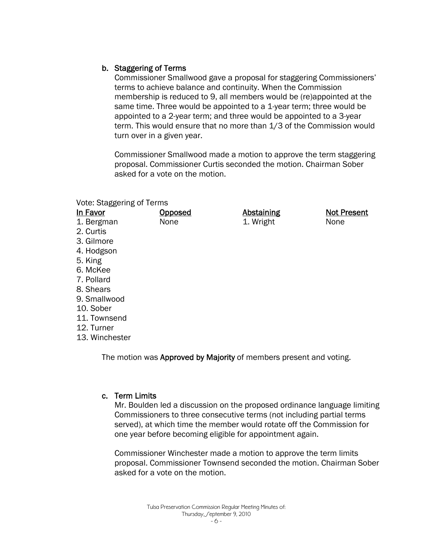# b. Staggering of Terms

Commissioner Smallwood gave a proposal for staggering Commissioners' terms to achieve balance and continuity. When the Commission membership is reduced to 9, all members would be (re)appointed at the same time. Three would be appointed to a 1-year term; three would be appointed to a 2-year term; and three would be appointed to a 3-year term. This would ensure that no more than 1/3 of the Commission would turn over in a given year.

Commissioner Smallwood made a motion to approve the term staggering proposal. Commissioner Curtis seconded the motion. Chairman Sober asked for a vote on the motion.

#### Vote: Staggering of Terms

| In Favor       | <b>Opposed</b> | <b>Abstaining</b> | <b>Not Present</b> |
|----------------|----------------|-------------------|--------------------|
| 1. Bergman     | None           | 1. Wright         | None               |
| 2. Curtis      |                |                   |                    |
| 3. Gilmore     |                |                   |                    |
| 4. Hodgson     |                |                   |                    |
| 5. King        |                |                   |                    |
| 6. McKee       |                |                   |                    |
| 7. Pollard     |                |                   |                    |
| 8. Shears      |                |                   |                    |
| 9. Smallwood   |                |                   |                    |
| 10. Sober      |                |                   |                    |
| 11. Townsend   |                |                   |                    |
| 12. Turner     |                |                   |                    |
| 13. Winchester |                |                   |                    |

The motion was Approved by Majority of members present and voting.

# c. Term Limits

Mr. Boulden led a discussion on the proposed ordinance language limiting Commissioners to three consecutive terms (not including partial terms served), at which time the member would rotate off the Commission for one year before becoming eligible for appointment again.

Commissioner Winchester made a motion to approve the term limits proposal. Commissioner Townsend seconded the motion. Chairman Sober asked for a vote on the motion.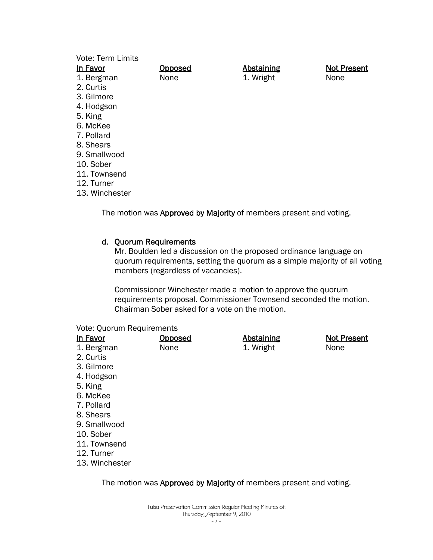| <b>Vote: Term Limits</b><br>In Favor | <b>Opposed</b> | <b>Abstaining</b> | <b>Not Present</b> |
|--------------------------------------|----------------|-------------------|--------------------|
| 1. Bergman                           | None           | 1. Wright         | None               |
| 2. Curtis                            |                |                   |                    |
| 3. Gilmore                           |                |                   |                    |
| 4. Hodgson                           |                |                   |                    |
| 5. King                              |                |                   |                    |
| 6. McKee                             |                |                   |                    |
| 7. Pollard                           |                |                   |                    |
| 8. Shears                            |                |                   |                    |
| 9. Smallwood                         |                |                   |                    |
| 10. Sober                            |                |                   |                    |
| 11. Townsend                         |                |                   |                    |
| 12. Turner                           |                |                   |                    |
| 13. Winchester                       |                |                   |                    |

The motion was Approved by Majority of members present and voting.

#### d. Quorum Requirements

Mr. Boulden led a discussion on the proposed ordinance language on quorum requirements, setting the quorum as a simple majority of all voting members (regardless of vacancies).

Commissioner Winchester made a motion to approve the quorum requirements proposal. Commissioner Townsend seconded the motion. Chairman Sober asked for a vote on the motion.

#### Vote: Quorum Requirements

| In Favor       | <u>Opposed</u> | <b>Abstaining</b> | <b>Not Present</b> |
|----------------|----------------|-------------------|--------------------|
| 1. Bergman     | None           | 1. Wright         | None               |
| 2. Curtis      |                |                   |                    |
| 3. Gilmore     |                |                   |                    |
| 4. Hodgson     |                |                   |                    |
| 5. King        |                |                   |                    |
| 6. McKee       |                |                   |                    |
| 7. Pollard     |                |                   |                    |
| 8. Shears      |                |                   |                    |
| 9. Smallwood   |                |                   |                    |
| 10. Sober      |                |                   |                    |
| 11. Townsend   |                |                   |                    |
| 12. Turner     |                |                   |                    |
| 13. Winchester |                |                   |                    |

#### The motion was Approved by Majority of members present and voting.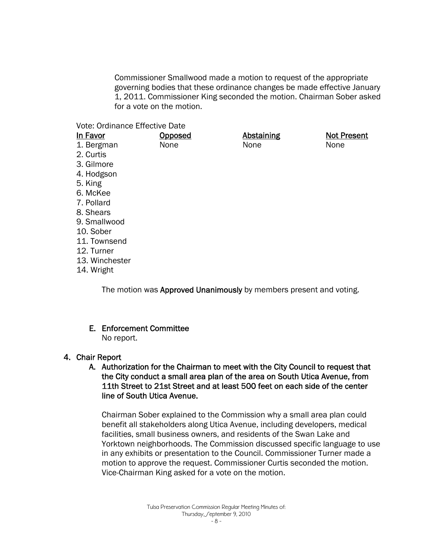Commissioner Smallwood made a motion to request of the appropriate governing bodies that these ordinance changes be made effective January 1, 2011. Commissioner King seconded the motion. Chairman Sober asked for a vote on the motion.

Vote: Ordinance Effective Date

| In Favor       | <b>Opposed</b> | <b>Abstaining</b> | <b>Not Present</b> |
|----------------|----------------|-------------------|--------------------|
| 1. Bergman     | None           | None              | None               |
| 2. Curtis      |                |                   |                    |
| 3. Gilmore     |                |                   |                    |
| 4. Hodgson     |                |                   |                    |
| 5. King        |                |                   |                    |
| 6. McKee       |                |                   |                    |
| 7. Pollard     |                |                   |                    |
| 8. Shears      |                |                   |                    |
| 9. Smallwood   |                |                   |                    |
| 10. Sober      |                |                   |                    |
| 11. Townsend   |                |                   |                    |
| 12. Turner     |                |                   |                    |
| 13. Winchester |                |                   |                    |
| 14. Wright     |                |                   |                    |
|                |                |                   |                    |

The motion was Approved Unanimously by members present and voting.

E. Enforcement Committee No report.

#### 4. Chair Report

# A. Authorization for the Chairman to meet with the City Council to request that the City conduct a small area plan of the area on South Utica Avenue, from 11th Street to 21st Street and at least 500 feet on each side of the center line of South Utica Avenue.

Chairman Sober explained to the Commission why a small area plan could benefit all stakeholders along Utica Avenue, including developers, medical facilities, small business owners, and residents of the Swan Lake and Yorktown neighborhoods. The Commission discussed specific language to use in any exhibits or presentation to the Council. Commissioner Turner made a motion to approve the request. Commissioner Curtis seconded the motion. Vice-Chairman King asked for a vote on the motion.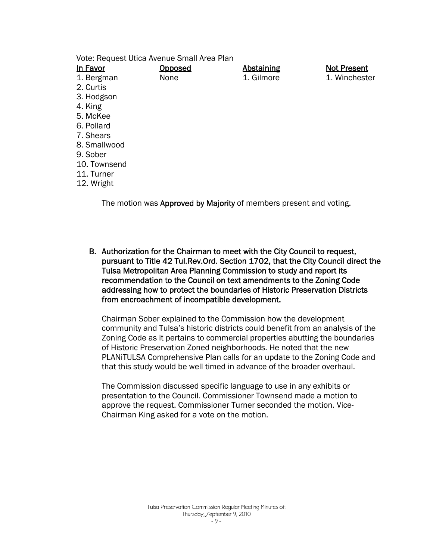Vote: Request Utica Avenue Small Area Plan

| In Favor     | <u>Opposed</u> | <b>Abstaining</b> | <b>Not Present</b> |
|--------------|----------------|-------------------|--------------------|
| 1. Bergman   | None           | 1. Gilmore        | 1. Winchester      |
| 2. Curtis    |                |                   |                    |
| 3. Hodgson   |                |                   |                    |
| 4. King      |                |                   |                    |
| 5. McKee     |                |                   |                    |
| 6. Pollard   |                |                   |                    |
| 7. Shears    |                |                   |                    |
| 8. Smallwood |                |                   |                    |
| 9. Sober     |                |                   |                    |
| 10. Townsend |                |                   |                    |
| 11. Turner   |                |                   |                    |
| 12. Wright   |                |                   |                    |
|              |                |                   |                    |

The motion was Approved by Majority of members present and voting.

B. Authorization for the Chairman to meet with the City Council to request, pursuant to Title 42 Tul.Rev.Ord. Section 1702, that the City Council direct the Tulsa Metropolitan Area Planning Commission to study and report its recommendation to the Council on text amendments to the Zoning Code addressing how to protect the boundaries of Historic Preservation Districts from encroachment of incompatible development.

Chairman Sober explained to the Commission how the development community and Tulsa's historic districts could benefit from an analysis of the Zoning Code as it pertains to commercial properties abutting the boundaries of Historic Preservation Zoned neighborhoods. He noted that the new PLANiTULSA Comprehensive Plan calls for an update to the Zoning Code and that this study would be well timed in advance of the broader overhaul.

The Commission discussed specific language to use in any exhibits or presentation to the Council. Commissioner Townsend made a motion to approve the request. Commissioner Turner seconded the motion. Vice-Chairman King asked for a vote on the motion.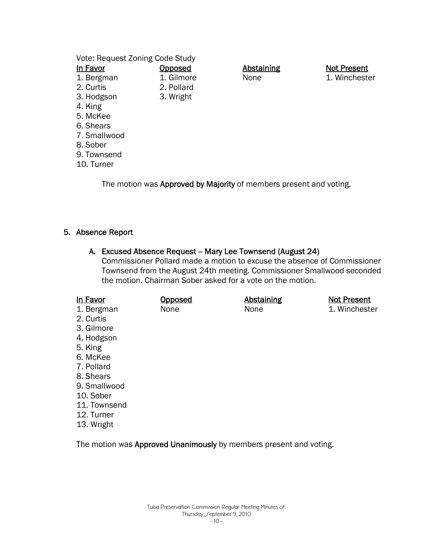Vote: Request Zoning Code Study

| In Favor     | <b>Opposed</b> |
|--------------|----------------|
| 1. Bergman   | 1. Gilmore     |
| 2. Curtis    | 2. Pollard     |
| 3. Hodgson   | 3. Wright      |
| 4. King      |                |
| 5. McKee     |                |
| 6. Shears    |                |
| 7. Smallwood |                |
| 8. Sober     |                |
| 9. Townsend  |                |
| 10. Turner   |                |

**Abstaining** None

Not Present 1. Winchester

The motion was Approved by Majority of members present and voting.

# 5. Absence Report

#### A. Excused Absence Request -- Mary Lee Townsend (August 24)

Commissioner Pollard made a motion to excuse the absence of Commissioner Townsend from the August 24th meeting. Commissioner Smallwood seconded the motion. Chairman Sober asked for a vote on the motion.

| In Favor<br>1. Bergman<br>2. Curtis<br>3. Gilmore<br>4. Hodgson<br>5. King<br>6. McKee<br>7. Pollard<br>8. Shears<br>9. Smallwood<br>10. Sober<br>11. Townsend | <b>Opposed</b><br>None | <b>Abstaining</b><br>None | <b>Not Present</b><br>1. Winchester |
|----------------------------------------------------------------------------------------------------------------------------------------------------------------|------------------------|---------------------------|-------------------------------------|
| 12. Turner<br>13. Wright                                                                                                                                       |                        |                           |                                     |

The motion was Approved Unanimously by members present and voting.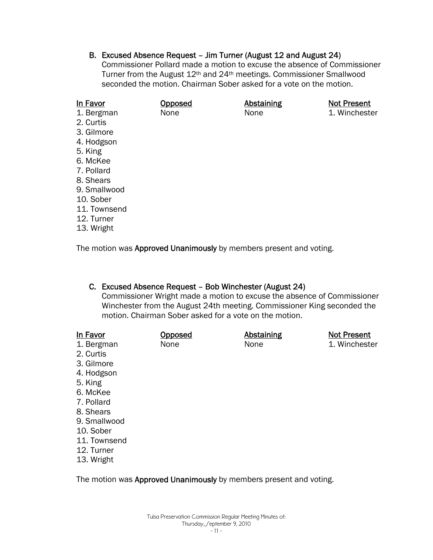B. Excused Absence Request – Jim Turner (August 12 and August 24) Commissioner Pollard made a motion to excuse the absence of Commissioner Turner from the August 12th and 24th meetings. Commissioner Smallwood seconded the motion. Chairman Sober asked for a vote on the motion.

| In Favor     | Opposed | <b>Abstaining</b> | <b>Not Present</b> |
|--------------|---------|-------------------|--------------------|
| 1. Bergman   | None    | None              | 1. Winchester      |
| 2. Curtis    |         |                   |                    |
| 3. Gilmore   |         |                   |                    |
| 4. Hodgson   |         |                   |                    |
| 5. King      |         |                   |                    |
| 6. McKee     |         |                   |                    |
| 7. Pollard   |         |                   |                    |
| 8. Shears    |         |                   |                    |
| 9. Smallwood |         |                   |                    |
| 10. Sober    |         |                   |                    |
| 11. Townsend |         |                   |                    |
| 12. Turner   |         |                   |                    |
| 13. Wright   |         |                   |                    |

The motion was Approved Unanimously by members present and voting.

#### C. Excused Absence Request – Bob Winchester (August 24)

Commissioner Wright made a motion to excuse the absence of Commissioner Winchester from the August 24th meeting. Commissioner King seconded the motion. Chairman Sober asked for a vote on the motion.

| In Favor     | Opposed | <b>Abstaining</b>                                                                                       | <b>Not Present</b> |
|--------------|---------|---------------------------------------------------------------------------------------------------------|--------------------|
| 1. Bergman   | None    | None                                                                                                    | 1. Winchester      |
| 2. Curtis    |         |                                                                                                         |                    |
| 3. Gilmore   |         |                                                                                                         |                    |
| 4. Hodgson   |         |                                                                                                         |                    |
| 5. King      |         |                                                                                                         |                    |
| 6. McKee     |         |                                                                                                         |                    |
| 7. Pollard   |         |                                                                                                         |                    |
| 8. Shears    |         |                                                                                                         |                    |
| 9. Smallwood |         |                                                                                                         |                    |
| 10. Sober    |         |                                                                                                         |                    |
| 11. Townsend |         |                                                                                                         |                    |
| 12. Turner   |         |                                                                                                         |                    |
| 13. Wright   |         |                                                                                                         |                    |
|              |         |                                                                                                         |                    |
|              |         | ▼bit in the first of the Alexander of History Maria could be the collection of the collection of the an |                    |

The motion was Approved Unanimously by members present and voting.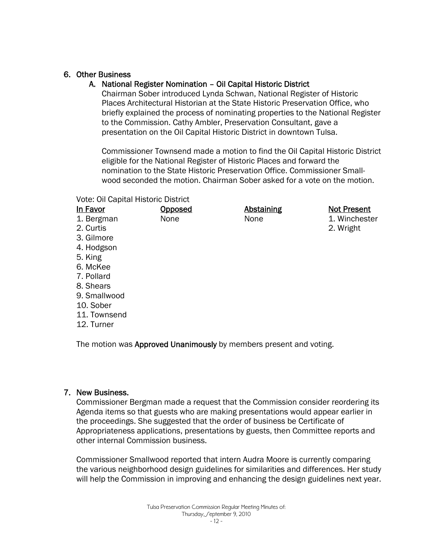# 6. Other Business

# A. National Register Nomination – Oil Capital Historic District

Chairman Sober introduced Lynda Schwan, National Register of Historic Places Architectural Historian at the State Historic Preservation Office, who briefly explained the process of nominating properties to the National Register to the Commission. Cathy Ambler, Preservation Consultant, gave a presentation on the Oil Capital Historic District in downtown Tulsa.

Commissioner Townsend made a motion to find the Oil Capital Historic District eligible for the National Register of Historic Places and forward the nomination to the State Historic Preservation Office. Commissioner Smallwood seconded the motion. Chairman Sober asked for a vote on the motion.

Vote: Oil Capital Historic District

| In Favor                                                           | Opposed | <b>Abstaining</b> | <b>Not Present</b> |
|--------------------------------------------------------------------|---------|-------------------|--------------------|
| 1. Bergman                                                         | None    | None              | 1. Winchester      |
| 2. Curtis                                                          |         |                   | 2. Wright          |
| 3. Gilmore                                                         |         |                   |                    |
| 4. Hodgson                                                         |         |                   |                    |
| 5. King                                                            |         |                   |                    |
| 6. McKee                                                           |         |                   |                    |
| 7. Pollard                                                         |         |                   |                    |
| 8. Shears                                                          |         |                   |                    |
| 9. Smallwood                                                       |         |                   |                    |
| 10. Sober                                                          |         |                   |                    |
| 11. Townsend                                                       |         |                   |                    |
| 12. Turner                                                         |         |                   |                    |
|                                                                    |         |                   |                    |
| The motion was Approved Unanimously by members present and voting. |         |                   |                    |

#### 7. New Business.

Commissioner Bergman made a request that the Commission consider reordering its Agenda items so that guests who are making presentations would appear earlier in the proceedings. She suggested that the order of business be Certificate of Appropriateness applications, presentations by guests, then Committee reports and other internal Commission business.

Commissioner Smallwood reported that intern Audra Moore is currently comparing the various neighborhood design guidelines for similarities and differences. Her study will help the Commission in improving and enhancing the design guidelines next year.